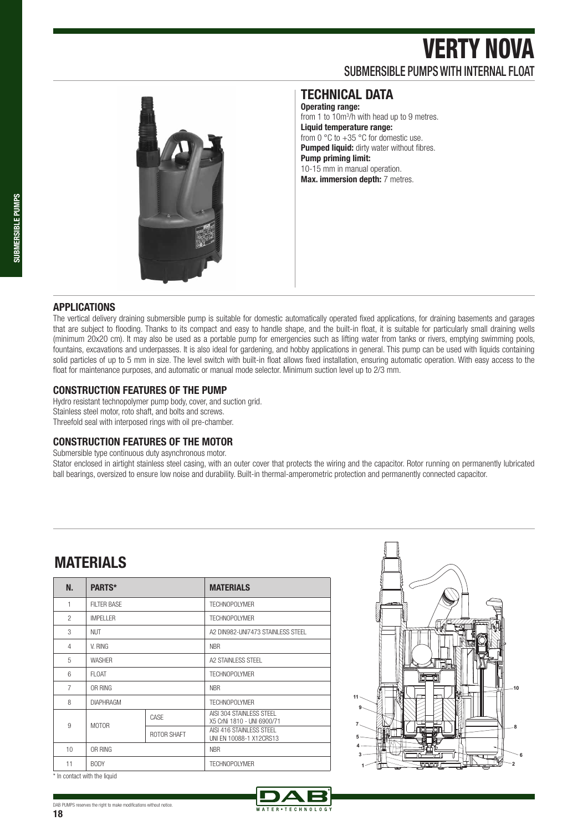# VERTY NOVA SUBMERSIBLE PUMPS WITH INTERNAL FLOAT



### **TECHNICAL DATA**

**Operating range:**  from 1 to 10m<sup>3</sup>/h with head up to 9 metres. **Liquid temperature range:**  from 0  $\degree$ C to +35  $\degree$ C for domestic use. **Pumped liquid:** dirty water without fibres. **Pump priming limit:**  10-15 mm in manual operation. **Max. immersion depth:** 7 metres.

#### **APPLICATIONS**

The vertical delivery draining submersible pump is suitable for domestic automatically operated fixed applications, for draining basements and garages that are subject to flooding. Thanks to its compact and easy to handle shape, and the built-in float, it is suitable for particularly small draining wells (minimum 20x20 cm). It may also be used as a portable pump for emergencies such as lifting water from tanks or rivers, emptying swimming pools, fountains, excavations and underpasses. It is also ideal for gardening, and hobby applications in general. This pump can be used with liquids containing solid particles of up to 5 mm in size. The level switch with built-in float allows fixed installation, ensuring automatic operation. With easy access to the float for maintenance purposes, and automatic or manual mode selector. Minimum suction level up to 2/3 mm.

#### **CONSTRUCTION FEATURES OF THE PUMP**

Hydro resistant technopolymer pump body, cover, and suction grid. Stainless steel motor, roto shaft, and bolts and screws. Threefold seal with interposed rings with oil pre-chamber.

#### **CONSTRUCTION FEATURES OF THE MOTOR**

Submersible type continuous duty asynchronous motor.

Stator enclosed in airtight stainless steel casing, with an outer cover that protects the wiring and the capacitor. Rotor running on permanently lubricated ball bearings, oversized to ensure low noise and durability. Built-in thermal-amperometric protection and permanently connected capacitor.

### **MATERIALS**

| N.             | PARTS*             |             | <b>MATERIALS</b>                                        |  |  |  |  |  |
|----------------|--------------------|-------------|---------------------------------------------------------|--|--|--|--|--|
| 1              | <b>FILTER BASE</b> |             | <b>TECHNOPOLYMER</b>                                    |  |  |  |  |  |
| $\mathfrak{p}$ | <b>IMPELLER</b>    |             | <b>TECHNOPOLYMER</b>                                    |  |  |  |  |  |
| 3              | <b>NUT</b>         |             | A2 DIN982-UNI7473 STAINLESS STEEL                       |  |  |  |  |  |
| 4              | V. RING            |             | <b>NBR</b>                                              |  |  |  |  |  |
| 5              | <b>WASHER</b>      |             | A2 STAINLESS STEEL                                      |  |  |  |  |  |
| 6              | FI OAT             |             | <b>TECHNOPOLYMER</b>                                    |  |  |  |  |  |
| $\overline{7}$ | OR RING            |             | <b>NBR</b>                                              |  |  |  |  |  |
| 8              | <b>DIAPHRAGM</b>   |             | <b>TECHNOPOLYMER</b>                                    |  |  |  |  |  |
| 9              | <b>MOTOR</b>       | CASE        | AISI 304 STAINI FSS STEEL<br>X5 CrNi 1810 - UNI 6900/71 |  |  |  |  |  |
|                |                    | ROTOR SHAFT | AISI 416 STAINLESS STEEL<br>UNI EN 10088-1 X12CRS13     |  |  |  |  |  |
| 10             | OR RING            |             | <b>NBR</b>                                              |  |  |  |  |  |
| 11             | <b>BODY</b>        |             | <b>TECHNOPOLYMER</b>                                    |  |  |  |  |  |



\* In contact with the liquid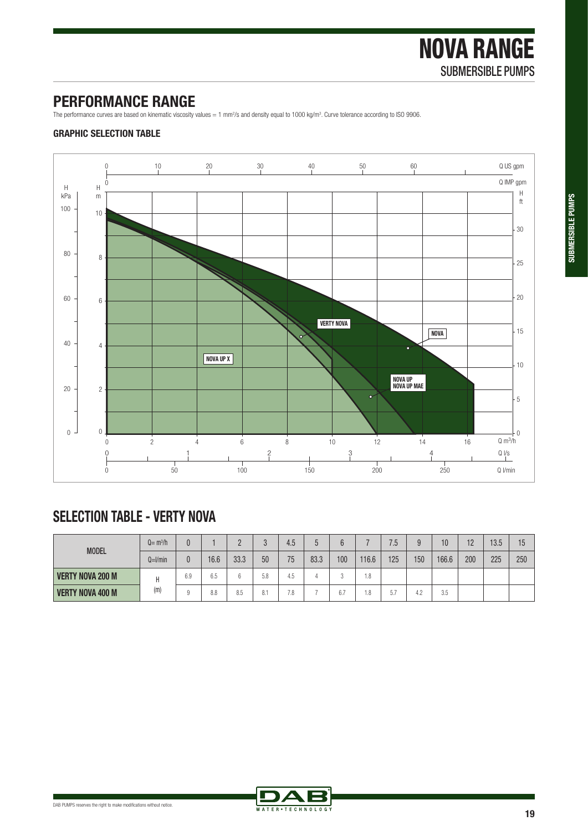## **PERFORMANCE RANGE**

The performance curves are based on kinematic viscosity values = 1 mm<sup>2</sup>/s and density equal to 1000 kg/m<sup>3</sup>. Curve tolerance according to ISO 9906.

### **GRAPHIC SELECTION TABLE**



## **SELECTION TABLE - VERTY NOVA**

| <b>MODEL</b>            | $Q = m^3/h$  |     |                      |      |                       | 4.5 |      |                      |       | 7.5 | a   | 10    | 12  | 13.5 | 15  |
|-------------------------|--------------|-----|----------------------|------|-----------------------|-----|------|----------------------|-------|-----|-----|-------|-----|------|-----|
|                         | $Q=$ $l/min$ | 0   | 16.6                 | 33.3 | 50                    | 75  | 83.3 | 100                  | 116.6 | 125 | 150 | 166.6 | 200 | 225  | 250 |
| <b>VERTY NOVA 200 M</b> | (m)          | 6.9 | $\sim$ $\sim$<br>6.5 |      | 5.8                   | 4.5 |      |                      | 1.8   |     |     |       |     |      |     |
| <b>VERTY NOVA 400 M</b> |              |     | 8.8                  | 8.5  | 0 <sub>1</sub><br>O.1 | 7.8 |      | $\sim$ $\sim$<br>б., | 1.8   | 5.7 | 4.2 | 3.5   |     |      |     |